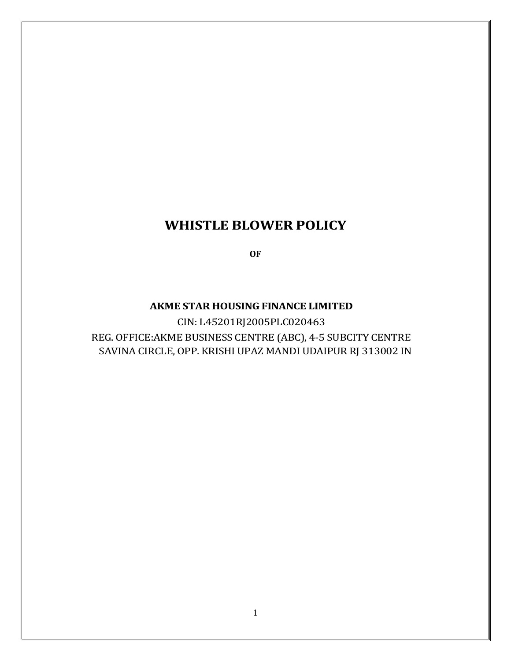# **WHISTLE BLOWER POLICY**

**OF**

#### **AKME STAR HOUSING FINANCE LIMITED**

CIN: L45201RJ2005PLC020463 REG. OFFICE:AKME BUSINESS CENTRE (ABC), 4-5 SUBCITY CENTRE SAVINA CIRCLE, OPP. KRISHI UPAZ MANDI UDAIPUR RJ 313002 IN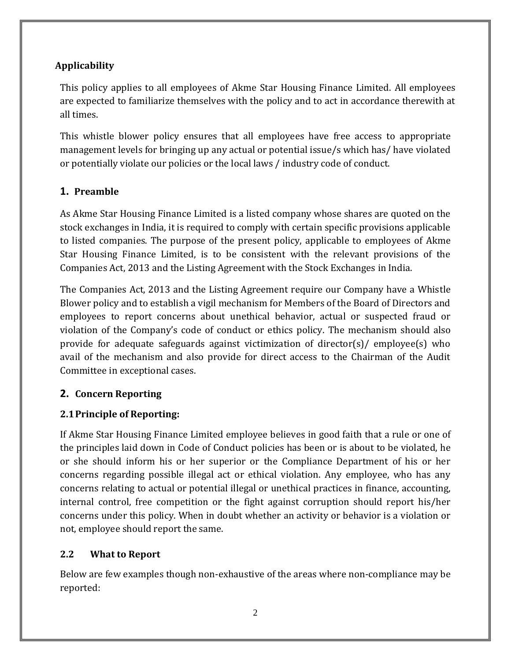## **Applicability**

This policy applies to all employees of Akme Star Housing Finance Limited. All employees are expected to familiarize themselves with the policy and to act in accordance therewith at all times.

This whistle blower policy ensures that all employees have free access to appropriate management levels for bringing up any actual or potential issue/s which has/ have violated or potentially violate our policies or the local laws / industry code of conduct.

## **1. Preamble**

As Akme Star Housing Finance Limited is a listed company whose shares are quoted on the stock exchanges in India, it is required to comply with certain specific provisions applicable to listed companies. The purpose of the present policy, applicable to employees of Akme Star Housing Finance Limited, is to be consistent with the relevant provisions of the Companies Act, 2013 and the Listing Agreement with the Stock Exchanges in India.

The Companies Act, 2013 and the Listing Agreement require our Company have a Whistle Blower policy and to establish a vigil mechanism for Members of the Board of Directors and employees to report concerns about unethical behavior, actual or suspected fraud or violation of the Company's code of conduct or ethics policy. The mechanism should also provide for adequate safeguards against victimization of director(s)/ employee(s) who avail of the mechanism and also provide for direct access to the Chairman of the Audit Committee in exceptional cases.

#### **2. Concern Reporting**

## **2.1Principle of Reporting:**

If Akme Star Housing Finance Limited employee believes in good faith that a rule or one of the principles laid down in Code of Conduct policies has been or is about to be violated, he or she should inform his or her superior or the Compliance Department of his or her concerns regarding possible illegal act or ethical violation. Any employee, who has any concerns relating to actual or potential illegal or unethical practices in finance, accounting, internal control, free competition or the fight against corruption should report his/her concerns under this policy. When in doubt whether an activity or behavior is a violation or not, employee should report the same.

## **2.2 What to Report**

Below are few examples though non-exhaustive of the areas where non-compliance may be reported: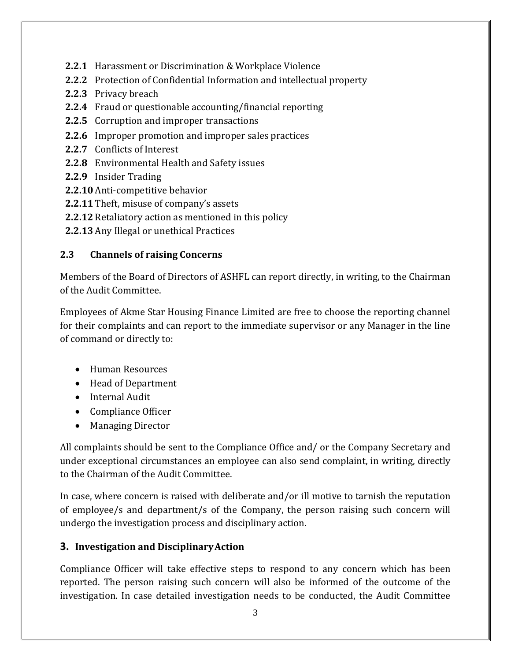- **2.2.1** Harassment or Discrimination & Workplace Violence
- **2.2.2** Protection of Confidential Information and intellectual property
- **2.2.3** Privacy breach
- **2.2.4** Fraud or questionable accounting/financial reporting
- **2.2.5** Corruption and improper transactions
- **2.2.6** Improper promotion and improper sales practices
- **2.2.7** Conflicts of Interest
- **2.2.8** Environmental Health and Safety issues
- **2.2.9** Insider Trading
- **2.2.10** Anti-competitive behavior
- **2.2.11** Theft, misuse of company's assets
- **2.2.12** Retaliatory action as mentioned in this policy
- **2.2.13** Any Illegal or unethical Practices

#### **2.3 Channels of raising Concerns**

Members of the Board of Directors of ASHFL can report directly, in writing, to the Chairman of the Audit Committee.

Employees of Akme Star Housing Finance Limited are free to choose the reporting channel for their complaints and can report to the immediate supervisor or any Manager in the line of command or directly to:

- Human Resources
- Head of Department
- Internal Audit
- Compliance Officer
- Managing Director

All complaints should be sent to the Compliance Office and/ or the Company Secretary and under exceptional circumstances an employee can also send complaint, in writing, directly to the Chairman of the Audit Committee.

In case, where concern is raised with deliberate and/or ill motive to tarnish the reputation of employee/s and department/s of the Company, the person raising such concern will undergo the investigation process and disciplinary action.

## **3. Investigation and DisciplinaryAction**

Compliance Officer will take effective steps to respond to any concern which has been reported. The person raising such concern will also be informed of the outcome of the investigation. In case detailed investigation needs to be conducted, the Audit Committee